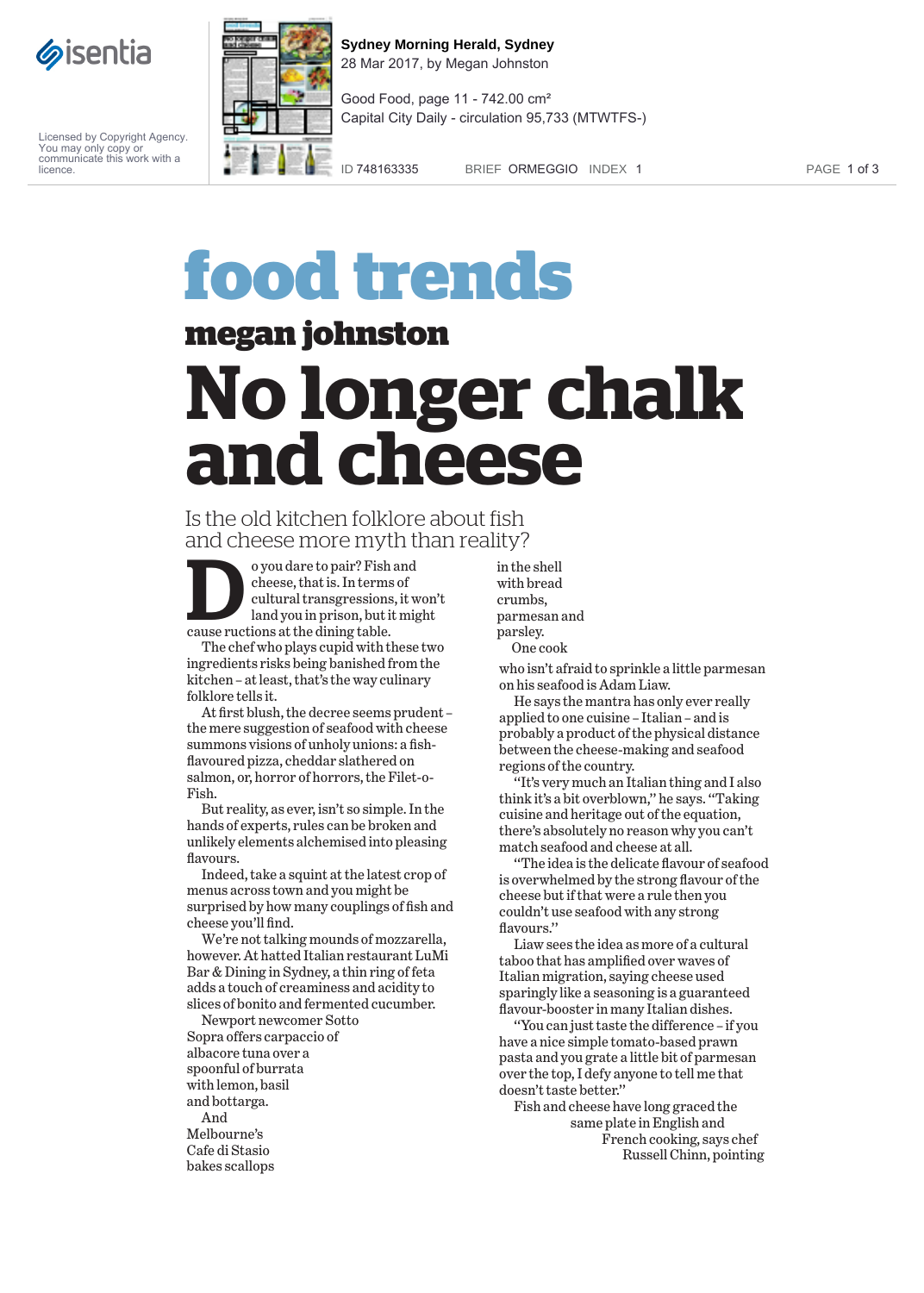

Licensed by Copyright Agency. You may only copy or communicate this work with a licence.



**Sydney Morning Herald, Sydney** 28 Mar 2017, by Megan Johnston

Good Food, page 11 - 742.00 cm² Capital City Daily - circulation 95,733 (MTWTFS-)

ID 748163335 BRIEF ORMEGGIO INDEX 1 PAGE 1 of 3

## **food trends**

**megan johnston**

## **No longer chalk and cheese**

## Is the old kitchen folklore about fish and cheese more myth than reality?

o you dare to pair? Fish and cheese, that is. In terms of cultural transgressions, it won't land you in prison, but it might cause ructions at the dining table.

The chef who plays cupid with these two ingredients risks being banished from the kitchen – at least, that's the way culinary folklore tells it.

At first blush, the decree seems prudent – the mere suggestion of seafood with cheese summons visions of unholy unions: a fishflavoured pizza, cheddar slathered on salmon, or, horror of horrors, the Filet-o-Fish.

But reality, as ever, isn't so simple. In the hands of experts, rules can be broken and unlikely elements alchemised into pleasing flavours.

Indeed, take a squint at the latest crop of menus across town and you might be surprised by how many couplings of fish and cheese you'll find.

We're not talking mounds of mozzarella, however. At hatted Italian restaurant LuMi Bar & Dining in Sydney, a thin ring of feta adds a touch of creaminess and acidity to slices of bonito and fermented cucumber.

Newport newcomer Sotto Sopra offers carpaccio of albacore tuna over a spoonful of burrata with lemon, basil and bottarga. And Melbourne's Cafe di Stasio bakes scallops

in the shell with bread crumbs, parmesan and parsley. One cook

who isn't afraid to sprinkle a little parmesan on his seafood is Adam Liaw.

He says the mantra has only ever really applied to one cuisine – Italian – and is probably a product of the physical distance between the cheese-making and seafood regions of the country.

''It's very much an Italian thing and I also think it's a bit overblown,'' he says. ''Taking cuisine and heritage out of the equation, there's absolutely no reason why you can't match seafood and cheese at all.

''The idea is the delicate flavour of seafood is overwhelmed by the strong flavour of the cheese but if that were a rule then you couldn't use seafood with any strong flavours.''

Liaw sees the idea as more of a cultural taboo that has amplified over waves of Italian migration, saying cheese used sparingly like a seasoning is a guaranteed flavour-booster in many Italian dishes.

''You can just taste the difference – if you have a nice simple tomato-based prawn pasta and you grate a little bit of parmesan over the top, I defy anyone to tell me that doesn't taste better.''

Fish and cheese have long graced the same plate in English and French cooking, says chef Russell Chinn, pointing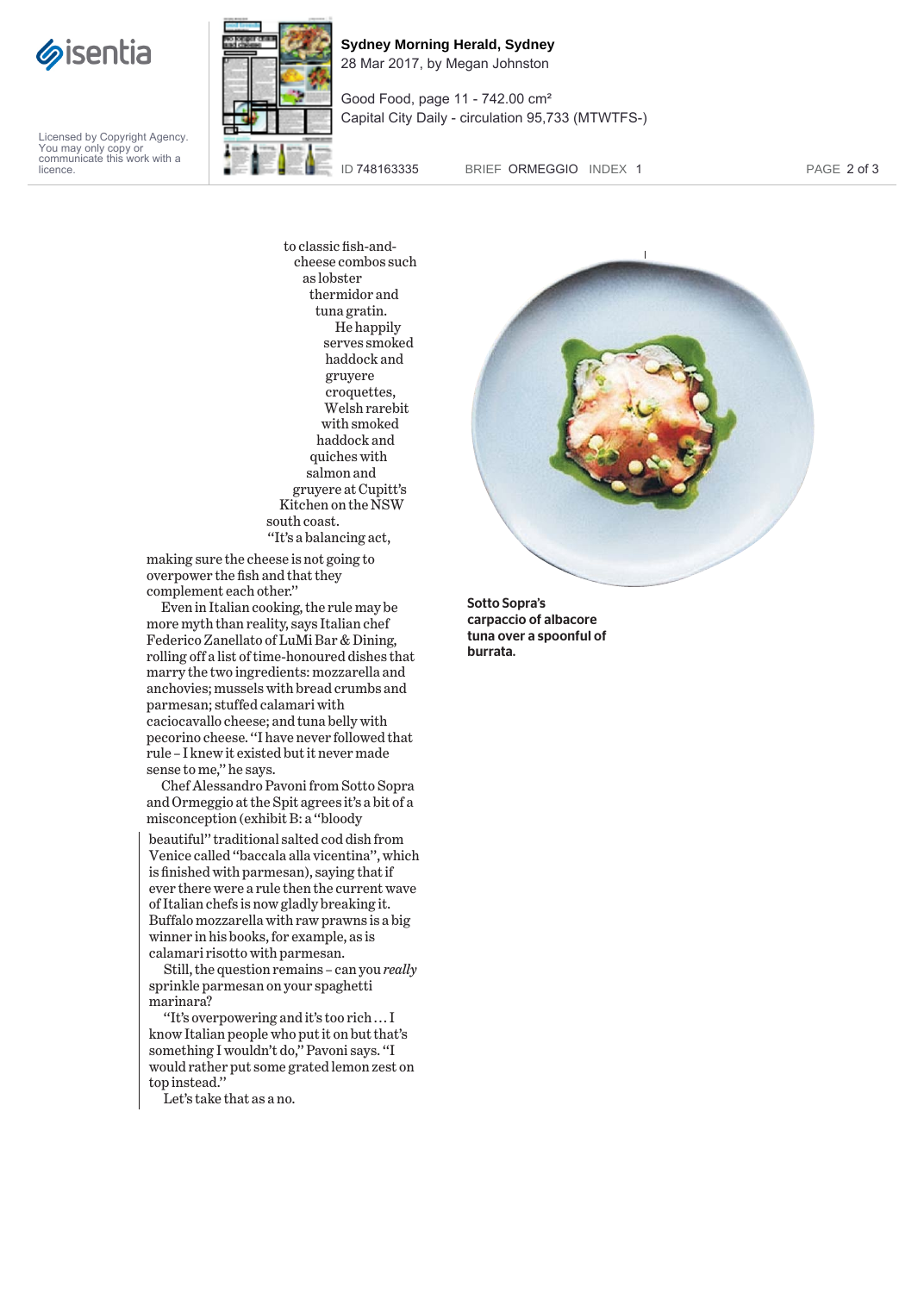

Licensed by Copyright Agency. You may only copy or communicate this work with a licence.



**Sydney Morning Herald, Sydney** 28 Mar 2017, by Megan Johnston

Good Food, page 11 - 742.00 cm² Capital City Daily - circulation 95,733 (MTWTFS-)

ID 748163335 BRIEF ORMEGGIO INDEX 1 PAGE 2 of 3

to classic fish-andcheese combos such as lobster thermidor and tuna gratin. He happily serves smoked haddock and gruyere croquettes, Welsh rarebit with smoked haddock and quiches with salmon and gruyere at Cupitt's Kitchen on the NSW south coast. ''It's a balancing act,

making sure the cheese is not going to overpower the fish and that they complement each other.''

Even in Italian cooking, the rule may be more myth than reality, says Italian chef Federico Zanellato of LuMi Bar & Dining, rolling off a list of time-honoured dishes that marry the two ingredients: mozzarella and anchovies; mussels with bread crumbs and parmesan; stuffed calamari with caciocavallo cheese; and tuna belly with pecorino cheese. ''I have never followed that rule – I knew it existed but it never made sense to me,'' he says.

Chef Alessandro Pavoni from Sotto Sopra and Ormeggio at the Spit agrees it's a bit of a misconception (exhibit B: a ''bloody

beautiful'' traditional salted cod dish from Venice called ''baccala alla vicentina'', which is finished with parmesan), saying that if ever there were a rule then the current wave of Italian chefs is now gladly breaking it. Buffalo mozzarella with raw prawns is a big winner in his books, for example, as is calamari risotto with parmesan.

Still, the question remains – can you *really* sprinkle parmesan on your spaghetti marinara?

''It's overpowering and it's too rich ... I know Italian people who put it on but that's something I wouldn't do,'' Pavoni says. ''I would rather put some grated lemon zest on top instead.''

Let's take that as a no.



Sotto Sopra's carpaccio of albacore tuna over a spoonful of burrata.